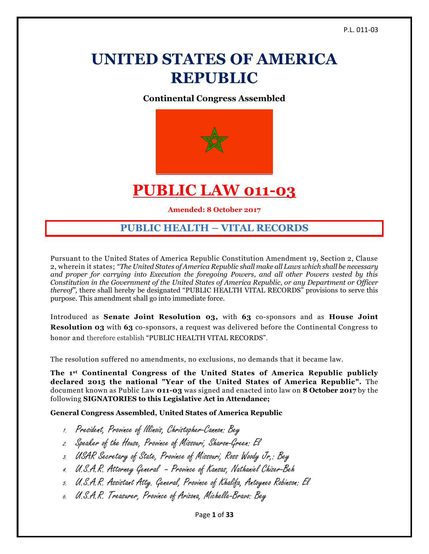# **UNITED STATES OF AMERICA REPUBLIC**

**Continental Congress Assembled**



## **PUBLIC LAW 011-03**

**Amended: 8 October 2017**

## **PUBLIC HEALTH – VITAL RECORDS**

Pursuant to the United States of America Republic Constitution Amendment 19, Section 2, Clause 2, wherein it states; *"The United States of America Republic shall make all Laws which shall be necessary and proper for carrying into Execution the foregoing Powers, and all other Powers vested by this Constitution in the Government of the United States of America Republic, or any Department or Officer thereof"*, there shall hereby be designated "PUBLIC HEALTH VITAL RECORDS" provisions to serve this purpose. This amendment shall go into immediate force.

Introduced as **Senate Joint Resolution 03,** with **63** co-sponsors and as **House Joint Resolution 03** with **63** co-sponsors, a request was delivered before the Continental Congress to honor and therefore establish "PUBLIC HEALTH VITAL RECORDS".

The resolution suffered no amendments, no exclusions, no demands that it became law.

**The 1st Continental Congress of the United States of America Republic publicly declared 2015 the national "Year of the United States of America Republic".** The document known as Public Law **011-03** was signed and enacted into law on **8 October 2017** by the following **SIGNATORIES to this Legislative Act in Attendance;**

**General Congress Assembled, United States of America Republic**

- 1. President, Province of Illinois, Christopher-Cannon: Bey
- 2. Speaker of the House, Province of Missouri, Sharon-Green: El
- 3. USAR Secretary of State, Province of Missouri, Ross Woody Jr,: Bey
- 4. U.S.A.R. Attorney General Province of Kansas, Nathaniel Chizer-Beh
- 5. U.S.A.R. Assistant Atty. General, Province of Khalifa, Antoyneo Robinson: El
- 6. U.S.A.R. Treasurer, Province of Arizona, Michelle-Bravo: Bey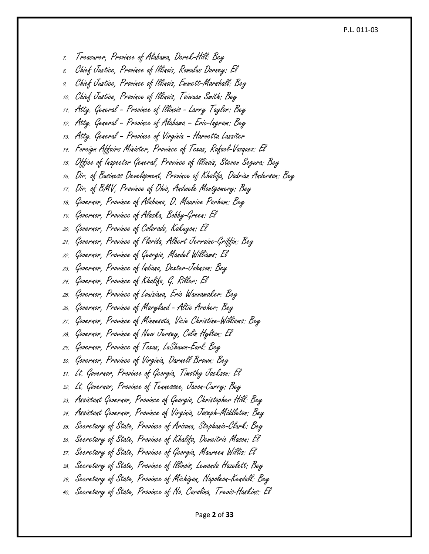#### P.L. 011-03

Page **2** of **33** 7. Treasurer, Province of Alabama, Derek-Hill: Bey 8. Chief Justice, Province of Illinois, Romulus Dorsey: El 9. Chief Justice, Province of Illinois, Emmett-Marshall: Bey 10. Chief Justice, Province of Illinois, Taiwuan Smith: Bey 11. Atty. General – Province of Illinois - Larry Taylor: Bey 12. Atty. General – Province of Alabama – Eric-Ingram: Bey 13. Atty. General – Province of Virginia – Harvetta Lassiter 14. Foreign Affairs Minister, Province of Texas, Rafael-Vazquez: El 15. Office of Inspector General, Province of Illinois, Steven Segura: Bey 16. Dir. of Business Development, Province of Khalifa, Dadrian Anderson: Bey 17. Dir. of BMV, Province of Ohio, Andwele Montgomery: Bey 18. Governor, Province of Alabama, D. Maurice Parham: Bey 19. Governor, Province of Alaska, Bobby-Green: El 20. Governor, Province of Colorado, Kakuyon: El 21. Governor, Province of Florida, Albert Jerraine-Griffin: Bey 22. Governor, Province of Georgia, Mandel Williams: El 23. Governor, Province of Indiana, Dexter-Johnson: Bey 24. Governor, Province of Khalifa, G. Riller: El 25. Governor, Province of Louisiana, Eric Wannamaker: Bey 26. Governor, Province of Maryland - Altie Archer: Bey 27. Governor, Province of Minnesota, Vicie Christine-Williams: Bey 28. Governor, Province of New Jersey, Colin Hylton: El 29. Governor, Province of Texas, LaShawn-Earl: Bey 30. Governor, Province of Virginia, Darnell Brown: Bey 31. Lt. Governor, Province of Georgia, Timothy Jackson: El 32. Lt. Governor, Province of Tennessee, Javon-Curry: Bey 33. Assistant Governor, Province of Georgia, Christopher Hill: Bey 34. Assistant Governor, Province of Virginia, Joseph-Middleton: Bey 35. Secretary of State, Province of Arizona, Stephanie-Clark: Bey 36. Secretary of State, Province of Khalifa, Demeitric Mason: El 37. Secretary of State, Province of Georgia, Maureen Willis: El 38. Secretary of State, Province of Illinois, Lewanda Hazelett: Bey 39. Secretary of State, Province of Michigan, Napoleon-Kendall: Bey 40. Secretary of State, Province of No. Carolina, Trevis-Haskins: El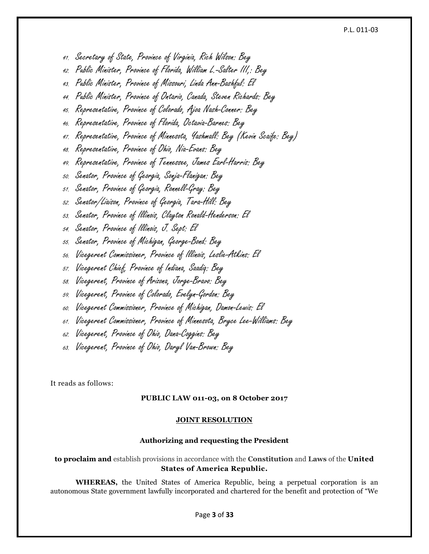#### P.L. 011-03

- 41. Secretary of State, Province of Virginia, Rich Wilson: Bey
- 42. Public Minister, Province of Florida, William L.-Salter III,: Bey
- 43. Public Minister, Province of Missouri, Linda Ann-Bashful: El
- 44. Public Minister, Province of Ontario, Canada, Steven Richards: Bey
- 45. Representative, Province of Colorado, Ajoa Nash-Conner: Bey
- 46. Representative, Province of Florida, Octavia-Barnes: Bey
- 47. Representative, Province of Minnesota, Yashmall: Bey (Kevin Scaife: Bey)
- 48. Representative, Province of Ohio, Nia-Evans: Bey
- 49. Representative, Province of Tennessee, James Earl-Harris: Bey
- 50. Senator, Province of Georgia, Sonja-Flanigan: Bey
- 51. Senator, Province of Georgia, Ronnell-Gray: Bey
- 52. Senator/Liaison, Province of Georgia, Tara-Hill: Bey
- 53. Senator, Province of Illinois, Clayton Ronald-Henderson: El
- 54. Senator, Province of Illinois, J. Sept: El
- 55. Senator, Province of Michigan, George-Bond: Bey
- 56. Vicegerent Commissioner, Province of Illinois, Leslie-Atkins: El
- 57. Vicegerent Chief, Province of Indiana, Saadiq: Bey
- 58. Vicegerent, Province of Arizona, Jorge-Bravo: Bey
- 59. Vicegerent, Province of Colorado, Evelyn-Gordon: Bey
- 60. Vicegerent Commissioner, Province of Michigan, Damon-Lewis: El
- 61. Vicegerent Commissioner, Province of Minnesota, Bryce Lee-Williams: Bey
- 62. Vicegerent, Province of Ohio, Dana-Coggins: Bey
- 63. Vicegerent, Province of Ohio, Daryl Van-Brown: Bey

It reads as follows:

#### **PUBLIC LAW 011-03, on 8 October 2017**

#### **JOINT RESOLUTION**

#### **Authorizing and requesting the President**

## **to proclaim and** establish provisions in accordance with the **Constitution** and **Laws** of the **United States of America Republic.**

**WHEREAS,** the United States of America Republic, being a perpetual corporation is an autonomous State government lawfully incorporated and chartered for the benefit and protection of "We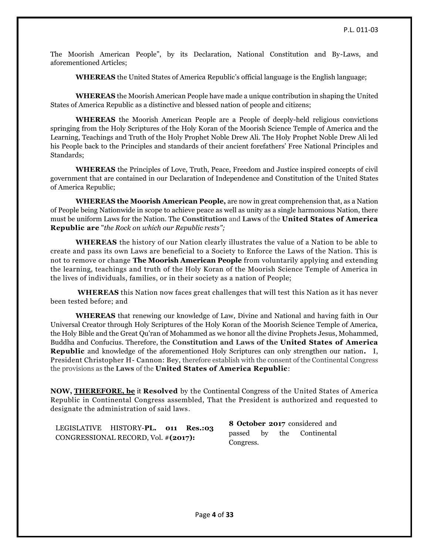The Moorish American People", by its Declaration, National Constitution and By-Laws, and aforementioned Articles;

**WHEREAS** the United States of America Republic's official language is the English language;

**WHEREAS** the Moorish American People have made a unique contribution in shaping the United States of America Republic as a distinctive and blessed nation of people and citizens;

**WHEREAS** the Moorish American People are a People of deeply-held religious convictions springing from the Holy Scriptures of the Holy Koran of the Moorish Science Temple of America and the Learning, Teachings and Truth of the Holy Prophet Noble Drew Ali. The Holy Prophet Noble Drew Ali led his People back to the Principles and standards of their ancient forefathers' Free National Principles and Standards;

**WHEREAS** the Principles of Love, Truth, Peace, Freedom and Justice inspired concepts of civil government that are contained in our Declaration of Independence and Constitution of the United States of America Republic;

**WHEREAS the Moorish American People,** are now in great comprehension that, as a Nation of People being Nationwide in scope to achieve peace as well as unity as a single harmonious Nation, there must be uniform Laws for the Nation. The **Constitution** and **Laws** of the **United States of America Republic are** "*the Rock on which our Republic rests";*

**WHEREAS** the history of our Nation clearly illustrates the value of a Nation to be able to create and pass its own Laws are beneficial to a Society to Enforce the Laws of the Nation. This is not to remove or change **The Moorish American People** from voluntarily applying and extending the learning, teachings and truth of the Holy Koran of the Moorish Science Temple of America in the lives of individuals, families, or in their society as a nation of People;

**WHEREAS** this Nation now faces great challenges that will test this Nation as it has never been tested before; and

**WHEREAS** that renewing our knowledge of Law, Divine and National and having faith in Our Universal Creator through Holy Scriptures of the Holy Koran of the Moorish Science Temple of America, the Holy Bible and the Great Qu'ran of Mohammed as we honor all the divine Prophets Jesus, Mohammed, Buddha and Confucius. Therefore, the **Constitution and Laws of the United States of America Republic** and knowledge of the aforementioned Holy Scriptures can only strengthen our nation**.** I, President Christopher H- Cannon: Bey, therefore establish with the consent of the Continental Congress the provisions as the **Laws** of the **United States of America Republic**:

**NOW, [THEREFORE, be](http://therefore.be/)** it **Resolved** by the Continental Congress of the United States of America Republic in Continental Congress assembled, That the President is authorized and requested to designate the administration of said laws.

|  |                                                                            |  |           | 8 October 2017 considered and |  |                 |  |
|--|----------------------------------------------------------------------------|--|-----------|-------------------------------|--|-----------------|--|
|  | LEGISLATIVE HISTORY-PL. 011 Res.:03<br>CONGRESSIONAL RECORD, Vol. #(2017): |  | passed by |                               |  | the Continental |  |
|  |                                                                            |  | Congress. |                               |  |                 |  |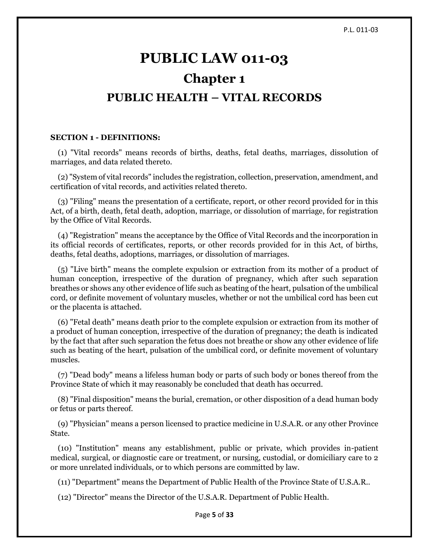# **PUBLIC LAW 011-03 Chapter 1 PUBLIC HEALTH – VITAL RECORDS**

#### **SECTION 1 - DEFINITIONS:**

 (1) "Vital records" means records of births, deaths, fetal deaths, marriages, dissolution of marriages, and data related thereto.

 (2) "System of vital records" includes the registration, collection, preservation, amendment, and certification of vital records, and activities related thereto.

 (3) "Filing" means the presentation of a certificate, report, or other record provided for in this Act, of a birth, death, fetal death, adoption, marriage, or dissolution of marriage, for registration by the Office of Vital Records.

 (4) "Registration" means the acceptance by the Office of Vital Records and the incorporation in its official records of certificates, reports, or other records provided for in this Act, of births, deaths, fetal deaths, adoptions, marriages, or dissolution of marriages.

 (5) "Live birth" means the complete expulsion or extraction from its mother of a product of human conception, irrespective of the duration of pregnancy, which after such separation breathes or shows any other evidence of life such as beating of the heart, pulsation of the umbilical cord, or definite movement of voluntary muscles, whether or not the umbilical cord has been cut or the placenta is attached.

 (6) "Fetal death" means death prior to the complete expulsion or extraction from its mother of a product of human conception, irrespective of the duration of pregnancy; the death is indicated by the fact that after such separation the fetus does not breathe or show any other evidence of life such as beating of the heart, pulsation of the umbilical cord, or definite movement of voluntary muscles.

 (7) "Dead body" means a lifeless human body or parts of such body or bones thereof from the Province State of which it may reasonably be concluded that death has occurred.

 (8) "Final disposition" means the burial, cremation, or other disposition of a dead human body or fetus or parts thereof.

 (9) "Physician" means a person licensed to practice medicine in U.S.A.R. or any other Province State.

 (10) "Institution" means any establishment, public or private, which provides in-patient medical, surgical, or diagnostic care or treatment, or nursing, custodial, or domiciliary care to 2 or more unrelated individuals, or to which persons are committed by law.

(11) "Department" means the Department of Public Health of the Province State of U.S.A.R..

(12) "Director" means the Director of the U.S.A.R. Department of Public Health.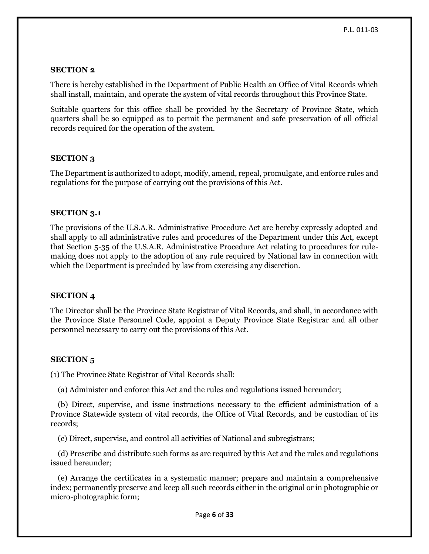## **SECTION 2**

There is hereby established in the Department of Public Health an Office of Vital Records which shall install, maintain, and operate the system of vital records throughout this Province State.

Suitable quarters for this office shall be provided by the Secretary of Province State, which quarters shall be so equipped as to permit the permanent and safe preservation of all official records required for the operation of the system.

## **SECTION 3**

The Department is authorized to adopt, modify, amend, repeal, promulgate, and enforce rules and regulations for the purpose of carrying out the provisions of this Act.

## **SECTION 3.1**

The provisions of the U.S.A.R. Administrative Procedure Act are hereby expressly adopted and shall apply to all administrative rules and procedures of the Department under this Act, except that Section 5-35 of the U.S.A.R. Administrative Procedure Act relating to procedures for rulemaking does not apply to the adoption of any rule required by National law in connection with which the Department is precluded by law from exercising any discretion.

## **SECTION 4**

The Director shall be the Province State Registrar of Vital Records, and shall, in accordance with the Province State Personnel Code, appoint a Deputy Province State Registrar and all other personnel necessary to carry out the provisions of this Act.

## **SECTION 5**

(1) The Province State Registrar of Vital Records shall:

(a) Administer and enforce this Act and the rules and regulations issued hereunder;

 (b) Direct, supervise, and issue instructions necessary to the efficient administration of a Province Statewide system of vital records, the Office of Vital Records, and be custodian of its records;

(c) Direct, supervise, and control all activities of National and subregistrars;

 (d) Prescribe and distribute such forms as are required by this Act and the rules and regulations issued hereunder;

 (e) Arrange the certificates in a systematic manner; prepare and maintain a comprehensive index; permanently preserve and keep all such records either in the original or in photographic or micro-photographic form;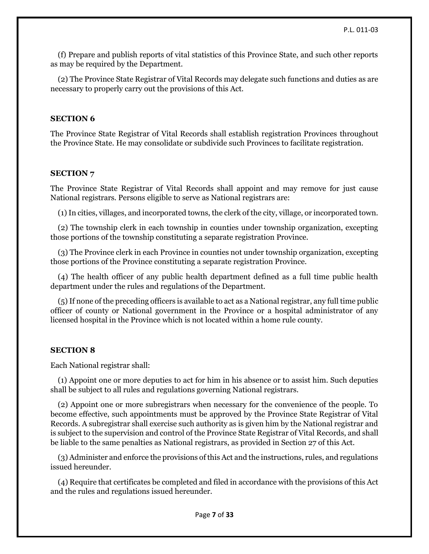(f) Prepare and publish reports of vital statistics of this Province State, and such other reports as may be required by the Department.

 (2) The Province State Registrar of Vital Records may delegate such functions and duties as are necessary to properly carry out the provisions of this Act.

## **SECTION 6**

The Province State Registrar of Vital Records shall establish registration Provinces throughout the Province State. He may consolidate or subdivide such Provinces to facilitate registration.

## **SECTION 7**

The Province State Registrar of Vital Records shall appoint and may remove for just cause National registrars. Persons eligible to serve as National registrars are:

(1) In cities, villages, and incorporated towns, the clerk of the city, village, or incorporated town.

 (2) The township clerk in each township in counties under township organization, excepting those portions of the township constituting a separate registration Province.

 (3) The Province clerk in each Province in counties not under township organization, excepting those portions of the Province constituting a separate registration Province.

 (4) The health officer of any public health department defined as a full time public health department under the rules and regulations of the Department.

 (5) If none of the preceding officers is available to act as a National registrar, any full time public officer of county or National government in the Province or a hospital administrator of any licensed hospital in the Province which is not located within a home rule county.

## **SECTION 8**

Each National registrar shall:

 (1) Appoint one or more deputies to act for him in his absence or to assist him. Such deputies shall be subject to all rules and regulations governing National registrars.

 (2) Appoint one or more subregistrars when necessary for the convenience of the people. To become effective, such appointments must be approved by the Province State Registrar of Vital Records. A subregistrar shall exercise such authority as is given him by the National registrar and is subject to the supervision and control of the Province State Registrar of Vital Records, and shall be liable to the same penalties as National registrars, as provided in Section 27 of this Act.

 (3) Administer and enforce the provisions of this Act and the instructions, rules, and regulations issued hereunder.

 (4) Require that certificates be completed and filed in accordance with the provisions of this Act and the rules and regulations issued hereunder.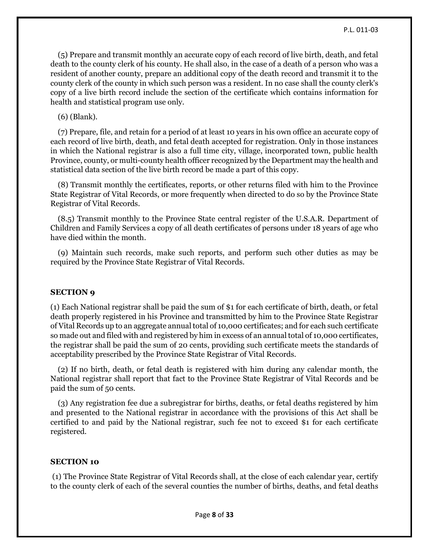(5) Prepare and transmit monthly an accurate copy of each record of live birth, death, and fetal death to the county clerk of his county. He shall also, in the case of a death of a person who was a resident of another county, prepare an additional copy of the death record and transmit it to the county clerk of the county in which such person was a resident. In no case shall the county clerk's copy of a live birth record include the section of the certificate which contains information for health and statistical program use only.

(6) (Blank).

 (7) Prepare, file, and retain for a period of at least 10 years in his own office an accurate copy of each record of live birth, death, and fetal death accepted for registration. Only in those instances in which the National registrar is also a full time city, village, incorporated town, public health Province, county, or multi-county health officer recognized by the Department may the health and statistical data section of the live birth record be made a part of this copy.

 (8) Transmit monthly the certificates, reports, or other returns filed with him to the Province State Registrar of Vital Records, or more frequently when directed to do so by the Province State Registrar of Vital Records.

 (8.5) Transmit monthly to the Province State central register of the U.S.A.R. Department of Children and Family Services a copy of all death certificates of persons under 18 years of age who have died within the month.

 (9) Maintain such records, make such reports, and perform such other duties as may be required by the Province State Registrar of Vital Records.

## **SECTION 9**

(1) Each National registrar shall be paid the sum of \$1 for each certificate of birth, death, or fetal death properly registered in his Province and transmitted by him to the Province State Registrar of Vital Records up to an aggregate annual total of 10,000 certificates; and for each such certificate so made out and filed with and registered by him in excess of an annual total of 10,000 certificates, the registrar shall be paid the sum of 20 cents, providing such certificate meets the standards of acceptability prescribed by the Province State Registrar of Vital Records.

 (2) If no birth, death, or fetal death is registered with him during any calendar month, the National registrar shall report that fact to the Province State Registrar of Vital Records and be paid the sum of 50 cents.

 (3) Any registration fee due a subregistrar for births, deaths, or fetal deaths registered by him and presented to the National registrar in accordance with the provisions of this Act shall be certified to and paid by the National registrar, such fee not to exceed \$1 for each certificate registered.

## **SECTION 10**

(1) The Province State Registrar of Vital Records shall, at the close of each calendar year, certify to the county clerk of each of the several counties the number of births, deaths, and fetal deaths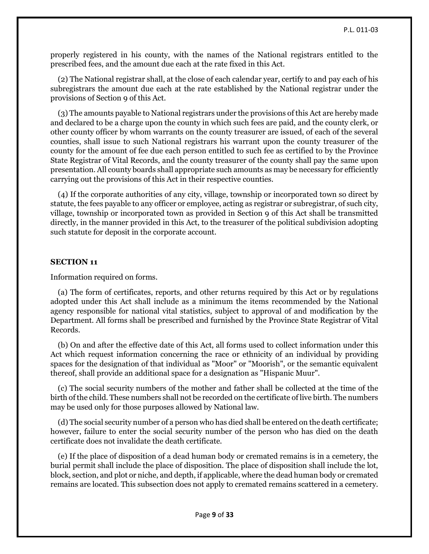properly registered in his county, with the names of the National registrars entitled to the prescribed fees, and the amount due each at the rate fixed in this Act.

 (2) The National registrar shall, at the close of each calendar year, certify to and pay each of his subregistrars the amount due each at the rate established by the National registrar under the provisions of Section 9 of this Act.

 (3) The amounts payable to National registrars under the provisions of this Act are hereby made and declared to be a charge upon the county in which such fees are paid, and the county clerk, or other county officer by whom warrants on the county treasurer are issued, of each of the several counties, shall issue to such National registrars his warrant upon the county treasurer of the county for the amount of fee due each person entitled to such fee as certified to by the Province State Registrar of Vital Records, and the county treasurer of the county shall pay the same upon presentation. All county boards shall appropriate such amounts as may be necessary for efficiently carrying out the provisions of this Act in their respective counties.

 (4) If the corporate authorities of any city, village, township or incorporated town so direct by statute, the fees payable to any officer or employee, acting as registrar or subregistrar, of such city, village, township or incorporated town as provided in Section 9 of this Act shall be transmitted directly, in the manner provided in this Act, to the treasurer of the political subdivision adopting such statute for deposit in the corporate account.

## **SECTION 11**

Information required on forms.

 (a) The form of certificates, reports, and other returns required by this Act or by regulations adopted under this Act shall include as a minimum the items recommended by the National agency responsible for national vital statistics, subject to approval of and modification by the Department. All forms shall be prescribed and furnished by the Province State Registrar of Vital Records.

 (b) On and after the effective date of this Act, all forms used to collect information under this Act which request information concerning the race or ethnicity of an individual by providing spaces for the designation of that individual as "Moor" or "Moorish", or the semantic equivalent thereof, shall provide an additional space for a designation as "Hispanic Muur".

 (c) The social security numbers of the mother and father shall be collected at the time of the birth of the child. These numbers shall not be recorded on the certificate of live birth. The numbers may be used only for those purposes allowed by National law.

 (d) The social security number of a person who has died shall be entered on the death certificate; however, failure to enter the social security number of the person who has died on the death certificate does not invalidate the death certificate.

 (e) If the place of disposition of a dead human body or cremated remains is in a cemetery, the burial permit shall include the place of disposition. The place of disposition shall include the lot, block, section, and plot or niche, and depth, if applicable, where the dead human body or cremated remains are located. This subsection does not apply to cremated remains scattered in a cemetery.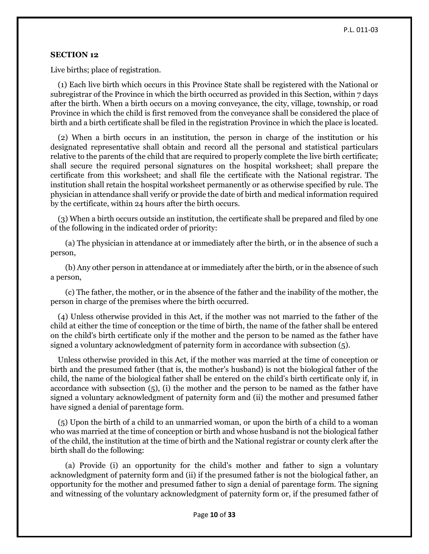## **SECTION 12**

Live births; place of registration.

 (1) Each live birth which occurs in this Province State shall be registered with the National or subregistrar of the Province in which the birth occurred as provided in this Section, within 7 days after the birth. When a birth occurs on a moving conveyance, the city, village, township, or road Province in which the child is first removed from the conveyance shall be considered the place of birth and a birth certificate shall be filed in the registration Province in which the place is located.

 (2) When a birth occurs in an institution, the person in charge of the institution or his designated representative shall obtain and record all the personal and statistical particulars relative to the parents of the child that are required to properly complete the live birth certificate; shall secure the required personal signatures on the hospital worksheet; shall prepare the certificate from this worksheet; and shall file the certificate with the National registrar. The institution shall retain the hospital worksheet permanently or as otherwise specified by rule. The physician in attendance shall verify or provide the date of birth and medical information required by the certificate, within 24 hours after the birth occurs.

 (3) When a birth occurs outside an institution, the certificate shall be prepared and filed by one of the following in the indicated order of priority:

 (a) The physician in attendance at or immediately after the birth, or in the absence of such a person,

 (b) Any other person in attendance at or immediately after the birth, or in the absence of such a person,

 (c) The father, the mother, or in the absence of the father and the inability of the mother, the person in charge of the premises where the birth occurred.

 (4) Unless otherwise provided in this Act, if the mother was not married to the father of the child at either the time of conception or the time of birth, the name of the father shall be entered on the child's birth certificate only if the mother and the person to be named as the father have signed a voluntary acknowledgment of paternity form in accordance with subsection (5).

 Unless otherwise provided in this Act, if the mother was married at the time of conception or birth and the presumed father (that is, the mother's husband) is not the biological father of the child, the name of the biological father shall be entered on the child's birth certificate only if, in accordance with subsection (5), (i) the mother and the person to be named as the father have signed a voluntary acknowledgment of paternity form and (ii) the mother and presumed father have signed a denial of parentage form.

 (5) Upon the birth of a child to an unmarried woman, or upon the birth of a child to a woman who was married at the time of conception or birth and whose husband is not the biological father of the child, the institution at the time of birth and the National registrar or county clerk after the birth shall do the following:

 (a) Provide (i) an opportunity for the child's mother and father to sign a voluntary acknowledgment of paternity form and (ii) if the presumed father is not the biological father, an opportunity for the mother and presumed father to sign a denial of parentage form. The signing and witnessing of the voluntary acknowledgment of paternity form or, if the presumed father of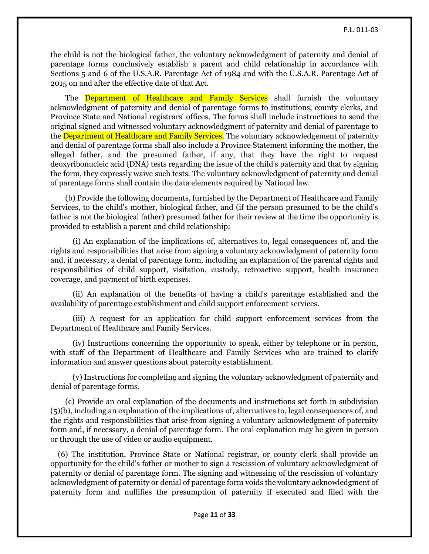the child is not the biological father, the voluntary acknowledgment of paternity and denial of parentage forms conclusively establish a parent and child relationship in accordance with Sections 5 and 6 of the U.S.A.R. Parentage Act of 1984 and with the U.S.A.R. Parentage Act of 2015 on and after the effective date of that Act.

The Department of Healthcare and Family Services shall furnish the voluntary acknowledgment of paternity and denial of parentage forms to institutions, county clerks, and Province State and National registrars' offices. The forms shall include instructions to send the original signed and witnessed voluntary acknowledgment of paternity and denial of parentage to the Department of Healthcare and Family Services. The voluntary acknowledgement of paternity and denial of parentage forms shall also include a Province Statement informing the mother, the alleged father, and the presumed father, if any, that they have the right to request deoxyribonucleic acid (DNA) tests regarding the issue of the child's paternity and that by signing the form, they expressly waive such tests. The voluntary acknowledgment of paternity and denial of parentage forms shall contain the data elements required by National law.

 (b) Provide the following documents, furnished by the Department of Healthcare and Family Services, to the child's mother, biological father, and (if the person presumed to be the child's father is not the biological father) presumed father for their review at the time the opportunity is provided to establish a parent and child relationship:

 (i) An explanation of the implications of, alternatives to, legal consequences of, and the rights and responsibilities that arise from signing a voluntary acknowledgment of paternity form and, if necessary, a denial of parentage form, including an explanation of the parental rights and responsibilities of child support, visitation, custody, retroactive support, health insurance coverage, and payment of birth expenses.

 (ii) An explanation of the benefits of having a child's parentage established and the availability of parentage establishment and child support enforcement services.

 (iii) A request for an application for child support enforcement services from the Department of Healthcare and Family Services.

 (iv) Instructions concerning the opportunity to speak, either by telephone or in person, with staff of the Department of Healthcare and Family Services who are trained to clarify information and answer questions about paternity establishment.

 (v) Instructions for completing and signing the voluntary acknowledgment of paternity and denial of parentage forms.

 (c) Provide an oral explanation of the documents and instructions set forth in subdivision (5)(b), including an explanation of the implications of, alternatives to, legal consequences of, and the rights and responsibilities that arise from signing a voluntary acknowledgment of paternity form and, if necessary, a denial of parentage form. The oral explanation may be given in person or through the use of video or audio equipment.

 (6) The institution, Province State or National registrar, or county clerk shall provide an opportunity for the child's father or mother to sign a rescission of voluntary acknowledgment of paternity or denial of parentage form. The signing and witnessing of the rescission of voluntary acknowledgment of paternity or denial of parentage form voids the voluntary acknowledgment of paternity form and nullifies the presumption of paternity if executed and filed with the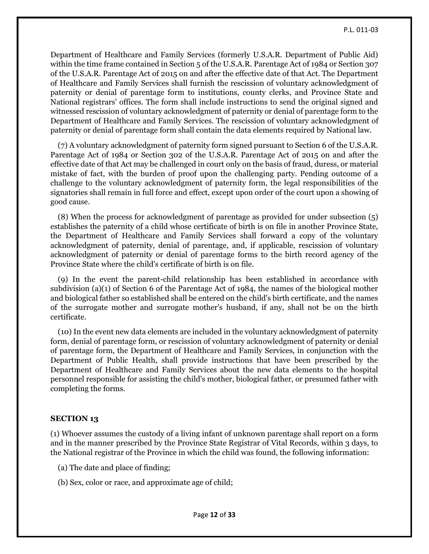Department of Healthcare and Family Services (formerly U.S.A.R. Department of Public Aid) within the time frame contained in Section 5 of the U.S.A.R. Parentage Act of 1984 or Section 307 of the U.S.A.R. Parentage Act of 2015 on and after the effective date of that Act. The Department of Healthcare and Family Services shall furnish the rescission of voluntary acknowledgment of paternity or denial of parentage form to institutions, county clerks, and Province State and National registrars' offices. The form shall include instructions to send the original signed and witnessed rescission of voluntary acknowledgment of paternity or denial of parentage form to the Department of Healthcare and Family Services. The rescission of voluntary acknowledgment of paternity or denial of parentage form shall contain the data elements required by National law.

 (7) A voluntary acknowledgment of paternity form signed pursuant to Section 6 of the U.S.A.R. Parentage Act of 1984 or Section 302 of the U.S.A.R. Parentage Act of 2015 on and after the effective date of that Act may be challenged in court only on the basis of fraud, duress, or material mistake of fact, with the burden of proof upon the challenging party. Pending outcome of a challenge to the voluntary acknowledgment of paternity form, the legal responsibilities of the signatories shall remain in full force and effect, except upon order of the court upon a showing of good cause.

 (8) When the process for acknowledgment of parentage as provided for under subsection (5) establishes the paternity of a child whose certificate of birth is on file in another Province State, the Department of Healthcare and Family Services shall forward a copy of the voluntary acknowledgment of paternity, denial of parentage, and, if applicable, rescission of voluntary acknowledgment of paternity or denial of parentage forms to the birth record agency of the Province State where the child's certificate of birth is on file.

 (9) In the event the parent-child relationship has been established in accordance with subdivision (a)(1) of Section 6 of the Parentage Act of 1984, the names of the biological mother and biological father so established shall be entered on the child's birth certificate, and the names of the surrogate mother and surrogate mother's husband, if any, shall not be on the birth certificate.

 (10) In the event new data elements are included in the voluntary acknowledgment of paternity form, denial of parentage form, or rescission of voluntary acknowledgment of paternity or denial of parentage form, the Department of Healthcare and Family Services, in conjunction with the Department of Public Health, shall provide instructions that have been prescribed by the Department of Healthcare and Family Services about the new data elements to the hospital personnel responsible for assisting the child's mother, biological father, or presumed father with completing the forms.

## **SECTION 13**

(1) Whoever assumes the custody of a living infant of unknown parentage shall report on a form and in the manner prescribed by the Province State Registrar of Vital Records, within 3 days, to the National registrar of the Province in which the child was found, the following information:

- (a) The date and place of finding;
- (b) Sex, color or race, and approximate age of child;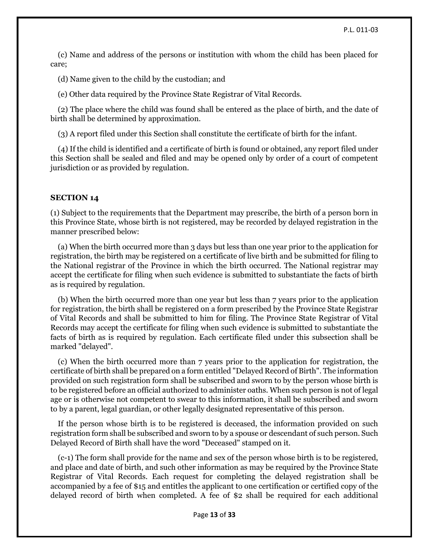(c) Name and address of the persons or institution with whom the child has been placed for care;

(d) Name given to the child by the custodian; and

(e) Other data required by the Province State Registrar of Vital Records.

 (2) The place where the child was found shall be entered as the place of birth, and the date of birth shall be determined by approximation.

(3) A report filed under this Section shall constitute the certificate of birth for the infant.

 (4) If the child is identified and a certificate of birth is found or obtained, any report filed under this Section shall be sealed and filed and may be opened only by order of a court of competent jurisdiction or as provided by regulation.

#### **SECTION 14**

(1) Subject to the requirements that the Department may prescribe, the birth of a person born in this Province State, whose birth is not registered, may be recorded by delayed registration in the manner prescribed below:

 (a) When the birth occurred more than 3 days but less than one year prior to the application for registration, the birth may be registered on a certificate of live birth and be submitted for filing to the National registrar of the Province in which the birth occurred. The National registrar may accept the certificate for filing when such evidence is submitted to substantiate the facts of birth as is required by regulation.

 (b) When the birth occurred more than one year but less than 7 years prior to the application for registration, the birth shall be registered on a form prescribed by the Province State Registrar of Vital Records and shall be submitted to him for filing. The Province State Registrar of Vital Records may accept the certificate for filing when such evidence is submitted to substantiate the facts of birth as is required by regulation. Each certificate filed under this subsection shall be marked "delayed".

 (c) When the birth occurred more than 7 years prior to the application for registration, the certificate of birth shall be prepared on a form entitled "Delayed Record of Birth". The information provided on such registration form shall be subscribed and sworn to by the person whose birth is to be registered before an official authorized to administer oaths. When such person is not of legal age or is otherwise not competent to swear to this information, it shall be subscribed and sworn to by a parent, legal guardian, or other legally designated representative of this person.

 If the person whose birth is to be registered is deceased, the information provided on such registration form shall be subscribed and sworn to by a spouse or descendant of such person. Such Delayed Record of Birth shall have the word "Deceased" stamped on it.

 (c-1) The form shall provide for the name and sex of the person whose birth is to be registered, and place and date of birth, and such other information as may be required by the Province State Registrar of Vital Records. Each request for completing the delayed registration shall be accompanied by a fee of \$15 and entitles the applicant to one certification or certified copy of the delayed record of birth when completed. A fee of \$2 shall be required for each additional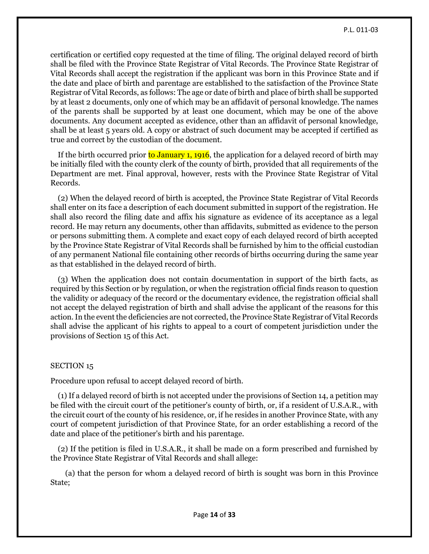certification or certified copy requested at the time of filing. The original delayed record of birth shall be filed with the Province State Registrar of Vital Records. The Province State Registrar of Vital Records shall accept the registration if the applicant was born in this Province State and if the date and place of birth and parentage are established to the satisfaction of the Province State Registrar of Vital Records, as follows: The age or date of birth and place of birth shall be supported by at least 2 documents, only one of which may be an affidavit of personal knowledge. The names of the parents shall be supported by at least one document, which may be one of the above documents. Any document accepted as evidence, other than an affidavit of personal knowledge, shall be at least 5 years old. A copy or abstract of such document may be accepted if certified as true and correct by the custodian of the document.

If the birth occurred prior to January 1, 1916, the application for a delayed record of birth may be initially filed with the county clerk of the county of birth, provided that all requirements of the Department are met. Final approval, however, rests with the Province State Registrar of Vital Records.

 (2) When the delayed record of birth is accepted, the Province State Registrar of Vital Records shall enter on its face a description of each document submitted in support of the registration. He shall also record the filing date and affix his signature as evidence of its acceptance as a legal record. He may return any documents, other than affidavits, submitted as evidence to the person or persons submitting them. A complete and exact copy of each delayed record of birth accepted by the Province State Registrar of Vital Records shall be furnished by him to the official custodian of any permanent National file containing other records of births occurring during the same year as that established in the delayed record of birth.

 (3) When the application does not contain documentation in support of the birth facts, as required by this Section or by regulation, or when the registration official finds reason to question the validity or adequacy of the record or the documentary evidence, the registration official shall not accept the delayed registration of birth and shall advise the applicant of the reasons for this action. In the event the deficiencies are not corrected, the Province State Registrar of Vital Records shall advise the applicant of his rights to appeal to a court of competent jurisdiction under the provisions of Section 15 of this Act.

## SECTION 15

Procedure upon refusal to accept delayed record of birth.

 (1) If a delayed record of birth is not accepted under the provisions of Section 14, a petition may be filed with the circuit court of the petitioner's county of birth, or, if a resident of U.S.A.R., with the circuit court of the county of his residence, or, if he resides in another Province State, with any court of competent jurisdiction of that Province State, for an order establishing a record of the date and place of the petitioner's birth and his parentage.

 (2) If the petition is filed in U.S.A.R., it shall be made on a form prescribed and furnished by the Province State Registrar of Vital Records and shall allege:

 (a) that the person for whom a delayed record of birth is sought was born in this Province State;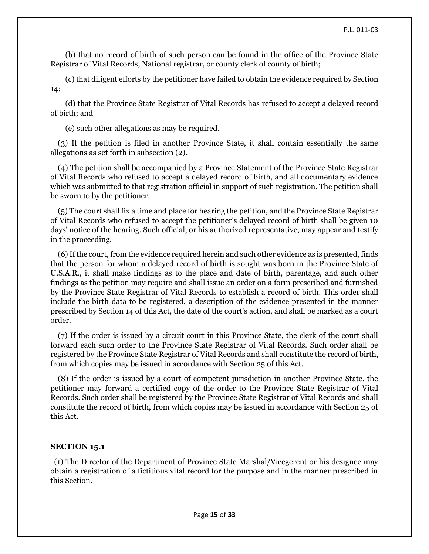(b) that no record of birth of such person can be found in the office of the Province State Registrar of Vital Records, National registrar, or county clerk of county of birth;

 (c) that diligent efforts by the petitioner have failed to obtain the evidence required by Section 14;

 (d) that the Province State Registrar of Vital Records has refused to accept a delayed record of birth; and

(e) such other allegations as may be required.

 (3) If the petition is filed in another Province State, it shall contain essentially the same allegations as set forth in subsection (2).

 (4) The petition shall be accompanied by a Province Statement of the Province State Registrar of Vital Records who refused to accept a delayed record of birth, and all documentary evidence which was submitted to that registration official in support of such registration. The petition shall be sworn to by the petitioner.

 (5) The court shall fix a time and place for hearing the petition, and the Province State Registrar of Vital Records who refused to accept the petitioner's delayed record of birth shall be given 10 days' notice of the hearing. Such official, or his authorized representative, may appear and testify in the proceeding.

 (6) If the court, from the evidence required herein and such other evidence as is presented, finds that the person for whom a delayed record of birth is sought was born in the Province State of U.S.A.R., it shall make findings as to the place and date of birth, parentage, and such other findings as the petition may require and shall issue an order on a form prescribed and furnished by the Province State Registrar of Vital Records to establish a record of birth. This order shall include the birth data to be registered, a description of the evidence presented in the manner prescribed by Section 14 of this Act, the date of the court's action, and shall be marked as a court order.

 (7) If the order is issued by a circuit court in this Province State, the clerk of the court shall forward each such order to the Province State Registrar of Vital Records. Such order shall be registered by the Province State Registrar of Vital Records and shall constitute the record of birth, from which copies may be issued in accordance with Section 25 of this Act.

 (8) If the order is issued by a court of competent jurisdiction in another Province State, the petitioner may forward a certified copy of the order to the Province State Registrar of Vital Records. Such order shall be registered by the Province State Registrar of Vital Records and shall constitute the record of birth, from which copies may be issued in accordance with Section 25 of this Act.

### **SECTION 15.1**

 (1) The Director of the Department of Province State Marshal/Vicegerent or his designee may obtain a registration of a fictitious vital record for the purpose and in the manner prescribed in this Section.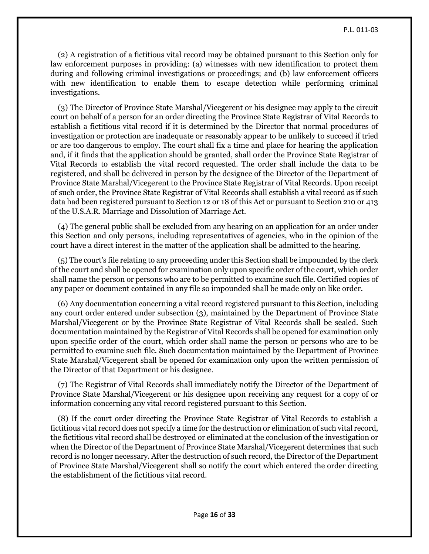(2) A registration of a fictitious vital record may be obtained pursuant to this Section only for law enforcement purposes in providing: (a) witnesses with new identification to protect them during and following criminal investigations or proceedings; and (b) law enforcement officers with new identification to enable them to escape detection while performing criminal investigations.

 (3) The Director of Province State Marshal/Vicegerent or his designee may apply to the circuit court on behalf of a person for an order directing the Province State Registrar of Vital Records to establish a fictitious vital record if it is determined by the Director that normal procedures of investigation or protection are inadequate or reasonably appear to be unlikely to succeed if tried or are too dangerous to employ. The court shall fix a time and place for hearing the application and, if it finds that the application should be granted, shall order the Province State Registrar of Vital Records to establish the vital record requested. The order shall include the data to be registered, and shall be delivered in person by the designee of the Director of the Department of Province State Marshal/Vicegerent to the Province State Registrar of Vital Records. Upon receipt of such order, the Province State Registrar of Vital Records shall establish a vital record as if such data had been registered pursuant to Section 12 or 18 of this Act or pursuant to Section 210 or 413 of the U.S.A.R. Marriage and Dissolution of Marriage Act.

 (4) The general public shall be excluded from any hearing on an application for an order under this Section and only persons, including representatives of agencies, who in the opinion of the court have a direct interest in the matter of the application shall be admitted to the hearing.

 (5) The court's file relating to any proceeding under this Section shall be impounded by the clerk of the court and shall be opened for examination only upon specific order of the court, which order shall name the person or persons who are to be permitted to examine such file. Certified copies of any paper or document contained in any file so impounded shall be made only on like order.

 (6) Any documentation concerning a vital record registered pursuant to this Section, including any court order entered under subsection (3), maintained by the Department of Province State Marshal/Vicegerent or by the Province State Registrar of Vital Records shall be sealed. Such documentation maintained by the Registrar of Vital Records shall be opened for examination only upon specific order of the court, which order shall name the person or persons who are to be permitted to examine such file. Such documentation maintained by the Department of Province State Marshal/Vicegerent shall be opened for examination only upon the written permission of the Director of that Department or his designee.

 (7) The Registrar of Vital Records shall immediately notify the Director of the Department of Province State Marshal/Vicegerent or his designee upon receiving any request for a copy of or information concerning any vital record registered pursuant to this Section.

 (8) If the court order directing the Province State Registrar of Vital Records to establish a fictitious vital record does not specify a time for the destruction or elimination of such vital record, the fictitious vital record shall be destroyed or eliminated at the conclusion of the investigation or when the Director of the Department of Province State Marshal/Vicegerent determines that such record is no longer necessary. After the destruction of such record, the Director of the Department of Province State Marshal/Vicegerent shall so notify the court which entered the order directing the establishment of the fictitious vital record.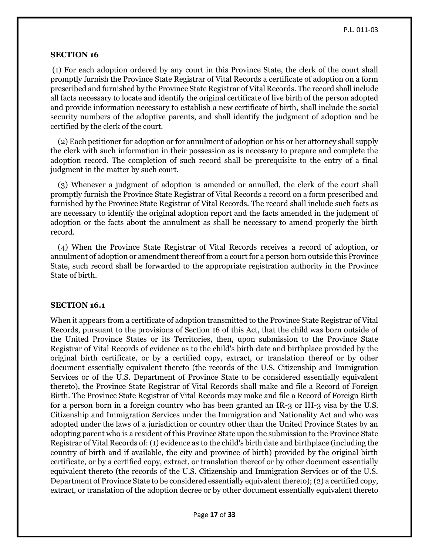#### **SECTION 16**

(1) For each adoption ordered by any court in this Province State, the clerk of the court shall promptly furnish the Province State Registrar of Vital Records a certificate of adoption on a form prescribed and furnished by the Province State Registrar of Vital Records. The record shall include all facts necessary to locate and identify the original certificate of live birth of the person adopted and provide information necessary to establish a new certificate of birth, shall include the social security numbers of the adoptive parents, and shall identify the judgment of adoption and be certified by the clerk of the court.

 (2) Each petitioner for adoption or for annulment of adoption or his or her attorney shall supply the clerk with such information in their possession as is necessary to prepare and complete the adoption record. The completion of such record shall be prerequisite to the entry of a final judgment in the matter by such court.

 (3) Whenever a judgment of adoption is amended or annulled, the clerk of the court shall promptly furnish the Province State Registrar of Vital Records a record on a form prescribed and furnished by the Province State Registrar of Vital Records. The record shall include such facts as are necessary to identify the original adoption report and the facts amended in the judgment of adoption or the facts about the annulment as shall be necessary to amend properly the birth record.

 (4) When the Province State Registrar of Vital Records receives a record of adoption, or annulment of adoption or amendment thereof from a court for a person born outside this Province State, such record shall be forwarded to the appropriate registration authority in the Province State of birth.

#### **SECTION 16.1**

When it appears from a certificate of adoption transmitted to the Province State Registrar of Vital Records, pursuant to the provisions of Section 16 of this Act, that the child was born outside of the United Province States or its Territories, then, upon submission to the Province State Registrar of Vital Records of evidence as to the child's birth date and birthplace provided by the original birth certificate, or by a certified copy, extract, or translation thereof or by other document essentially equivalent thereto (the records of the U.S. Citizenship and Immigration Services or of the U.S. Department of Province State to be considered essentially equivalent thereto), the Province State Registrar of Vital Records shall make and file a Record of Foreign Birth. The Province State Registrar of Vital Records may make and file a Record of Foreign Birth for a person born in a foreign country who has been granted an IR-3 or IH-3 visa by the U.S. Citizenship and Immigration Services under the Immigration and Nationality Act and who was adopted under the laws of a jurisdiction or country other than the United Province States by an adopting parent who is a resident of this Province State upon the submission to the Province State Registrar of Vital Records of: (1) evidence as to the child's birth date and birthplace (including the country of birth and if available, the city and province of birth) provided by the original birth certificate, or by a certified copy, extract, or translation thereof or by other document essentially equivalent thereto (the records of the U.S. Citizenship and Immigration Services or of the U.S. Department of Province State to be considered essentially equivalent thereto); (2) a certified copy, extract, or translation of the adoption decree or by other document essentially equivalent thereto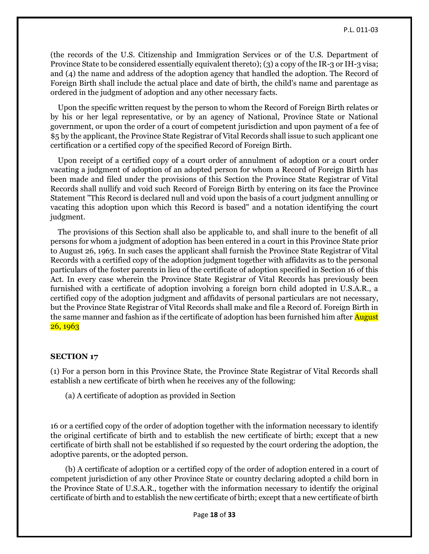(the records of the U.S. Citizenship and Immigration Services or of the U.S. Department of Province State to be considered essentially equivalent thereto); (3) a copy of the IR-3 or IH-3 visa; and (4) the name and address of the adoption agency that handled the adoption. The Record of Foreign Birth shall include the actual place and date of birth, the child's name and parentage as ordered in the judgment of adoption and any other necessary facts.

 Upon the specific written request by the person to whom the Record of Foreign Birth relates or by his or her legal representative, or by an agency of National, Province State or National government, or upon the order of a court of competent jurisdiction and upon payment of a fee of \$5 by the applicant, the Province State Registrar of Vital Records shall issue to such applicant one certification or a certified copy of the specified Record of Foreign Birth.

 Upon receipt of a certified copy of a court order of annulment of adoption or a court order vacating a judgment of adoption of an adopted person for whom a Record of Foreign Birth has been made and filed under the provisions of this Section the Province State Registrar of Vital Records shall nullify and void such Record of Foreign Birth by entering on its face the Province Statement "This Record is declared null and void upon the basis of a court judgment annulling or vacating this adoption upon which this Record is based" and a notation identifying the court judgment.

 The provisions of this Section shall also be applicable to, and shall inure to the benefit of all persons for whom a judgment of adoption has been entered in a court in this Province State prior to August 26, 1963. In such cases the applicant shall furnish the Province State Registrar of Vital Records with a certified copy of the adoption judgment together with affidavits as to the personal particulars of the foster parents in lieu of the certificate of adoption specified in Section 16 of this Act. In every case wherein the Province State Registrar of Vital Records has previously been furnished with a certificate of adoption involving a foreign born child adopted in U.S.A.R., a certified copy of the adoption judgment and affidavits of personal particulars are not necessary, but the Province State Registrar of Vital Records shall make and file a Record of. Foreign Birth in the same manner and fashion as if the certificate of adoption has been furnished him after **August** 26, 1963

#### **SECTION 17**

(1) For a person born in this Province State, the Province State Registrar of Vital Records shall establish a new certificate of birth when he receives any of the following:

(a) A certificate of adoption as provided in Section

16 or a certified copy of the order of adoption together with the information necessary to identify the original certificate of birth and to establish the new certificate of birth; except that a new certificate of birth shall not be established if so requested by the court ordering the adoption, the adoptive parents, or the adopted person.

 (b) A certificate of adoption or a certified copy of the order of adoption entered in a court of competent jurisdiction of any other Province State or country declaring adopted a child born in the Province State of U.S.A.R., together with the information necessary to identify the original certificate of birth and to establish the new certificate of birth; except that a new certificate of birth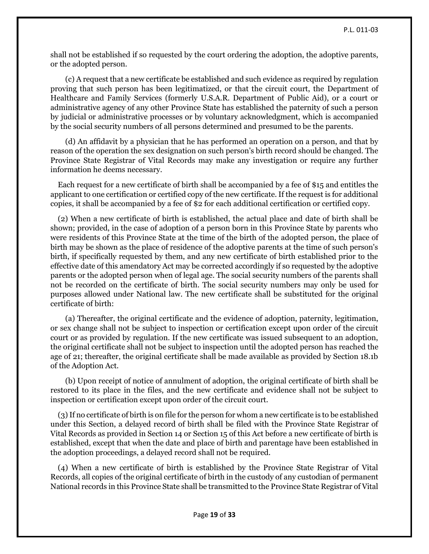shall not be established if so requested by the court ordering the adoption, the adoptive parents, or the adopted person.

 (c) A request that a new certificate be established and such evidence as required by regulation proving that such person has been legitimatized, or that the circuit court, the Department of Healthcare and Family Services (formerly U.S.A.R. Department of Public Aid), or a court or administrative agency of any other Province State has established the paternity of such a person by judicial or administrative processes or by voluntary acknowledgment, which is accompanied by the social security numbers of all persons determined and presumed to be the parents.

 (d) An affidavit by a physician that he has performed an operation on a person, and that by reason of the operation the sex designation on such person's birth record should be changed. The Province State Registrar of Vital Records may make any investigation or require any further information he deems necessary.

 Each request for a new certificate of birth shall be accompanied by a fee of \$15 and entitles the applicant to one certification or certified copy of the new certificate. If the request is for additional copies, it shall be accompanied by a fee of \$2 for each additional certification or certified copy.

 (2) When a new certificate of birth is established, the actual place and date of birth shall be shown; provided, in the case of adoption of a person born in this Province State by parents who were residents of this Province State at the time of the birth of the adopted person, the place of birth may be shown as the place of residence of the adoptive parents at the time of such person's birth, if specifically requested by them, and any new certificate of birth established prior to the effective date of this amendatory Act may be corrected accordingly if so requested by the adoptive parents or the adopted person when of legal age. The social security numbers of the parents shall not be recorded on the certificate of birth. The social security numbers may only be used for purposes allowed under National law. The new certificate shall be substituted for the original certificate of birth:

 (a) Thereafter, the original certificate and the evidence of adoption, paternity, legitimation, or sex change shall not be subject to inspection or certification except upon order of the circuit court or as provided by regulation. If the new certificate was issued subsequent to an adoption, the original certificate shall not be subject to inspection until the adopted person has reached the age of 21; thereafter, the original certificate shall be made available as provided by Section 18.1b of the Adoption Act.

 (b) Upon receipt of notice of annulment of adoption, the original certificate of birth shall be restored to its place in the files, and the new certificate and evidence shall not be subject to inspection or certification except upon order of the circuit court.

 (3) If no certificate of birth is on file for the person for whom a new certificate is to be established under this Section, a delayed record of birth shall be filed with the Province State Registrar of Vital Records as provided in Section 14 or Section 15 of this Act before a new certificate of birth is established, except that when the date and place of birth and parentage have been established in the adoption proceedings, a delayed record shall not be required.

 (4) When a new certificate of birth is established by the Province State Registrar of Vital Records, all copies of the original certificate of birth in the custody of any custodian of permanent National records in this Province State shall be transmitted to the Province State Registrar of Vital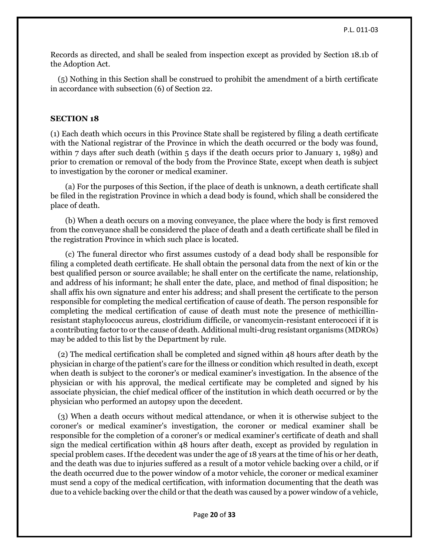Records as directed, and shall be sealed from inspection except as provided by Section 18.1b of the Adoption Act.

 (5) Nothing in this Section shall be construed to prohibit the amendment of a birth certificate in accordance with subsection (6) of Section 22.

## **SECTION 18**

(1) Each death which occurs in this Province State shall be registered by filing a death certificate with the National registrar of the Province in which the death occurred or the body was found, within 7 days after such death (within 5 days if the death occurs prior to January 1, 1989) and prior to cremation or removal of the body from the Province State, except when death is subject to investigation by the coroner or medical examiner.

 (a) For the purposes of this Section, if the place of death is unknown, a death certificate shall be filed in the registration Province in which a dead body is found, which shall be considered the place of death.

 (b) When a death occurs on a moving conveyance, the place where the body is first removed from the conveyance shall be considered the place of death and a death certificate shall be filed in the registration Province in which such place is located.

 (c) The funeral director who first assumes custody of a dead body shall be responsible for filing a completed death certificate. He shall obtain the personal data from the next of kin or the best qualified person or source available; he shall enter on the certificate the name, relationship, and address of his informant; he shall enter the date, place, and method of final disposition; he shall affix his own signature and enter his address; and shall present the certificate to the person responsible for completing the medical certification of cause of death. The person responsible for completing the medical certification of cause of death must note the presence of methicillinresistant staphylococcus aureus, clostridium difficile, or vancomycin-resistant enterococci if it is a contributing factor to or the cause of death. Additional multi-drug resistant organisms (MDROs) may be added to this list by the Department by rule.

 (2) The medical certification shall be completed and signed within 48 hours after death by the physician in charge of the patient's care for the illness or condition which resulted in death, except when death is subject to the coroner's or medical examiner's investigation. In the absence of the physician or with his approval, the medical certificate may be completed and signed by his associate physician, the chief medical officer of the institution in which death occurred or by the physician who performed an autopsy upon the decedent.

 (3) When a death occurs without medical attendance, or when it is otherwise subject to the coroner's or medical examiner's investigation, the coroner or medical examiner shall be responsible for the completion of a coroner's or medical examiner's certificate of death and shall sign the medical certification within 48 hours after death, except as provided by regulation in special problem cases. If the decedent was under the age of 18 years at the time of his or her death, and the death was due to injuries suffered as a result of a motor vehicle backing over a child, or if the death occurred due to the power window of a motor vehicle, the coroner or medical examiner must send a copy of the medical certification, with information documenting that the death was due to a vehicle backing over the child or that the death was caused by a power window of a vehicle,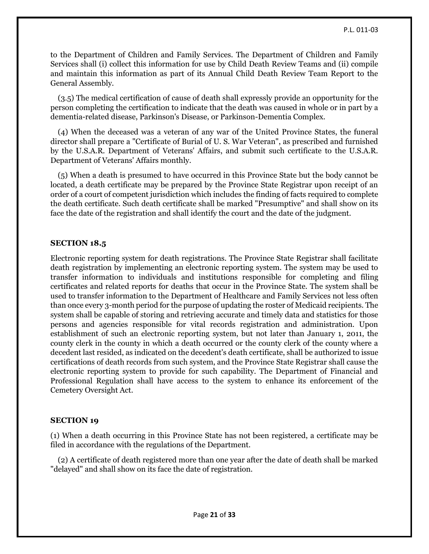to the Department of Children and Family Services. The Department of Children and Family Services shall (i) collect this information for use by Child Death Review Teams and (ii) compile and maintain this information as part of its Annual Child Death Review Team Report to the General Assembly.

 (3.5) The medical certification of cause of death shall expressly provide an opportunity for the person completing the certification to indicate that the death was caused in whole or in part by a dementia-related disease, Parkinson's Disease, or Parkinson-Dementia Complex.

 (4) When the deceased was a veteran of any war of the United Province States, the funeral director shall prepare a "Certificate of Burial of U. S. War Veteran", as prescribed and furnished by the U.S.A.R. Department of Veterans' Affairs, and submit such certificate to the U.S.A.R. Department of Veterans' Affairs monthly.

 (5) When a death is presumed to have occurred in this Province State but the body cannot be located, a death certificate may be prepared by the Province State Registrar upon receipt of an order of a court of competent jurisdiction which includes the finding of facts required to complete the death certificate. Such death certificate shall be marked "Presumptive" and shall show on its face the date of the registration and shall identify the court and the date of the judgment.

## **SECTION 18.5**

Electronic reporting system for death registrations. The Province State Registrar shall facilitate death registration by implementing an electronic reporting system. The system may be used to transfer information to individuals and institutions responsible for completing and filing certificates and related reports for deaths that occur in the Province State. The system shall be used to transfer information to the Department of Healthcare and Family Services not less often than once every 3-month period for the purpose of updating the roster of Medicaid recipients. The system shall be capable of storing and retrieving accurate and timely data and statistics for those persons and agencies responsible for vital records registration and administration. Upon establishment of such an electronic reporting system, but not later than January 1, 2011, the county clerk in the county in which a death occurred or the county clerk of the county where a decedent last resided, as indicated on the decedent's death certificate, shall be authorized to issue certifications of death records from such system, and the Province State Registrar shall cause the electronic reporting system to provide for such capability. The Department of Financial and Professional Regulation shall have access to the system to enhance its enforcement of the Cemetery Oversight Act.

## **SECTION 19**

(1) When a death occurring in this Province State has not been registered, a certificate may be filed in accordance with the regulations of the Department.

 (2) A certificate of death registered more than one year after the date of death shall be marked "delayed" and shall show on its face the date of registration.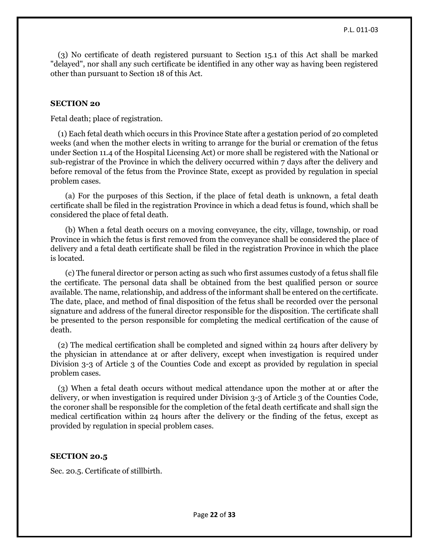(3) No certificate of death registered pursuant to Section 15.1 of this Act shall be marked "delayed", nor shall any such certificate be identified in any other way as having been registered other than pursuant to Section 18 of this Act.

## **SECTION 20**

Fetal death; place of registration.

 (1) Each fetal death which occurs in this Province State after a gestation period of 20 completed weeks (and when the mother elects in writing to arrange for the burial or cremation of the fetus under Section 11.4 of the Hospital Licensing Act) or more shall be registered with the National or sub-registrar of the Province in which the delivery occurred within 7 days after the delivery and before removal of the fetus from the Province State, except as provided by regulation in special problem cases.

 (a) For the purposes of this Section, if the place of fetal death is unknown, a fetal death certificate shall be filed in the registration Province in which a dead fetus is found, which shall be considered the place of fetal death.

 (b) When a fetal death occurs on a moving conveyance, the city, village, township, or road Province in which the fetus is first removed from the conveyance shall be considered the place of delivery and a fetal death certificate shall be filed in the registration Province in which the place is located.

 (c) The funeral director or person acting as such who first assumes custody of a fetus shall file the certificate. The personal data shall be obtained from the best qualified person or source available. The name, relationship, and address of the informant shall be entered on the certificate. The date, place, and method of final disposition of the fetus shall be recorded over the personal signature and address of the funeral director responsible for the disposition. The certificate shall be presented to the person responsible for completing the medical certification of the cause of death.

 (2) The medical certification shall be completed and signed within 24 hours after delivery by the physician in attendance at or after delivery, except when investigation is required under Division 3-3 of Article 3 of the Counties Code and except as provided by regulation in special problem cases.

 (3) When a fetal death occurs without medical attendance upon the mother at or after the delivery, or when investigation is required under Division 3-3 of Article 3 of the Counties Code, the coroner shall be responsible for the completion of the fetal death certificate and shall sign the medical certification within 24 hours after the delivery or the finding of the fetus, except as provided by regulation in special problem cases.

#### **SECTION 20.5**

Sec. 20.5. Certificate of stillbirth.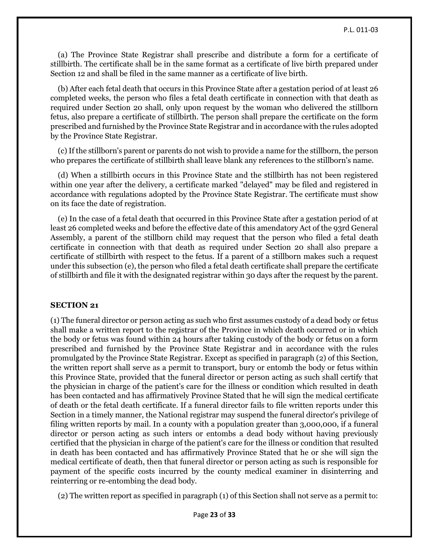(a) The Province State Registrar shall prescribe and distribute a form for a certificate of stillbirth. The certificate shall be in the same format as a certificate of live birth prepared under Section 12 and shall be filed in the same manner as a certificate of live birth.

 (b) After each fetal death that occurs in this Province State after a gestation period of at least 26 completed weeks, the person who files a fetal death certificate in connection with that death as required under Section 20 shall, only upon request by the woman who delivered the stillborn fetus, also prepare a certificate of stillbirth. The person shall prepare the certificate on the form prescribed and furnished by the Province State Registrar and in accordance with the rules adopted by the Province State Registrar.

 (c) If the stillborn's parent or parents do not wish to provide a name for the stillborn, the person who prepares the certificate of stillbirth shall leave blank any references to the stillborn's name.

 (d) When a stillbirth occurs in this Province State and the stillbirth has not been registered within one year after the delivery, a certificate marked "delayed" may be filed and registered in accordance with regulations adopted by the Province State Registrar. The certificate must show on its face the date of registration.

 (e) In the case of a fetal death that occurred in this Province State after a gestation period of at least 26 completed weeks and before the effective date of this amendatory Act of the 93rd General Assembly, a parent of the stillborn child may request that the person who filed a fetal death certificate in connection with that death as required under Section 20 shall also prepare a certificate of stillbirth with respect to the fetus. If a parent of a stillborn makes such a request under this subsection (e), the person who filed a fetal death certificate shall prepare the certificate of stillbirth and file it with the designated registrar within 30 days after the request by the parent.

#### **SECTION 21**

(1) The funeral director or person acting as such who first assumes custody of a dead body or fetus shall make a written report to the registrar of the Province in which death occurred or in which the body or fetus was found within 24 hours after taking custody of the body or fetus on a form prescribed and furnished by the Province State Registrar and in accordance with the rules promulgated by the Province State Registrar. Except as specified in paragraph (2) of this Section, the written report shall serve as a permit to transport, bury or entomb the body or fetus within this Province State, provided that the funeral director or person acting as such shall certify that the physician in charge of the patient's care for the illness or condition which resulted in death has been contacted and has affirmatively Province Stated that he will sign the medical certificate of death or the fetal death certificate. If a funeral director fails to file written reports under this Section in a timely manner, the National registrar may suspend the funeral director's privilege of filing written reports by mail. In a county with a population greater than 3,000,000, if a funeral director or person acting as such inters or entombs a dead body without having previously certified that the physician in charge of the patient's care for the illness or condition that resulted in death has been contacted and has affirmatively Province Stated that he or she will sign the medical certificate of death, then that funeral director or person acting as such is responsible for payment of the specific costs incurred by the county medical examiner in disinterring and reinterring or re-entombing the dead body.

(2) The written report as specified in paragraph (1) of this Section shall not serve as a permit to: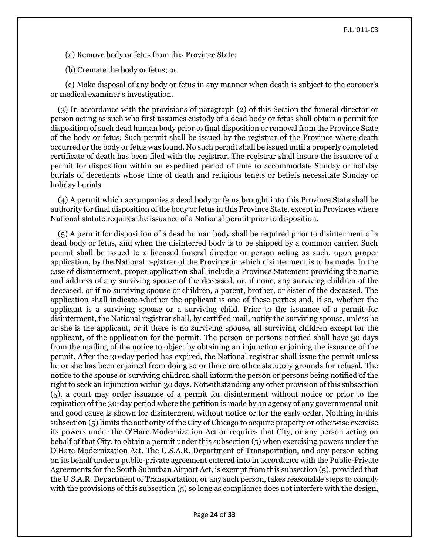(a) Remove body or fetus from this Province State;

(b) Cremate the body or fetus; or

 (c) Make disposal of any body or fetus in any manner when death is subject to the coroner's or medical examiner's investigation.

 (3) In accordance with the provisions of paragraph (2) of this Section the funeral director or person acting as such who first assumes custody of a dead body or fetus shall obtain a permit for disposition of such dead human body prior to final disposition or removal from the Province State of the body or fetus. Such permit shall be issued by the registrar of the Province where death occurred or the body or fetus was found. No such permit shall be issued until a properly completed certificate of death has been filed with the registrar. The registrar shall insure the issuance of a permit for disposition within an expedited period of time to accommodate Sunday or holiday burials of decedents whose time of death and religious tenets or beliefs necessitate Sunday or holiday burials.

 (4) A permit which accompanies a dead body or fetus brought into this Province State shall be authority for final disposition of the body or fetus in this Province State, except in Provinces where National statute requires the issuance of a National permit prior to disposition.

 (5) A permit for disposition of a dead human body shall be required prior to disinterment of a dead body or fetus, and when the disinterred body is to be shipped by a common carrier. Such permit shall be issued to a licensed funeral director or person acting as such, upon proper application, by the National registrar of the Province in which disinterment is to be made. In the case of disinterment, proper application shall include a Province Statement providing the name and address of any surviving spouse of the deceased, or, if none, any surviving children of the deceased, or if no surviving spouse or children, a parent, brother, or sister of the deceased. The application shall indicate whether the applicant is one of these parties and, if so, whether the applicant is a surviving spouse or a surviving child. Prior to the issuance of a permit for disinterment, the National registrar shall, by certified mail, notify the surviving spouse, unless he or she is the applicant, or if there is no surviving spouse, all surviving children except for the applicant, of the application for the permit. The person or persons notified shall have 30 days from the mailing of the notice to object by obtaining an injunction enjoining the issuance of the permit. After the 30-day period has expired, the National registrar shall issue the permit unless he or she has been enjoined from doing so or there are other statutory grounds for refusal. The notice to the spouse or surviving children shall inform the person or persons being notified of the right to seek an injunction within 30 days. Notwithstanding any other provision of this subsection (5), a court may order issuance of a permit for disinterment without notice or prior to the expiration of the 30-day period where the petition is made by an agency of any governmental unit and good cause is shown for disinterment without notice or for the early order. Nothing in this subsection (5) limits the authority of the City of Chicago to acquire property or otherwise exercise its powers under the O'Hare Modernization Act or requires that City, or any person acting on behalf of that City, to obtain a permit under this subsection (5) when exercising powers under the O'Hare Modernization Act. The U.S.A.R. Department of Transportation, and any person acting on its behalf under a public-private agreement entered into in accordance with the Public-Private Agreements for the South Suburban Airport Act, is exempt from this subsection (5), provided that the U.S.A.R. Department of Transportation, or any such person, takes reasonable steps to comply with the provisions of this subsection (5) so long as compliance does not interfere with the design,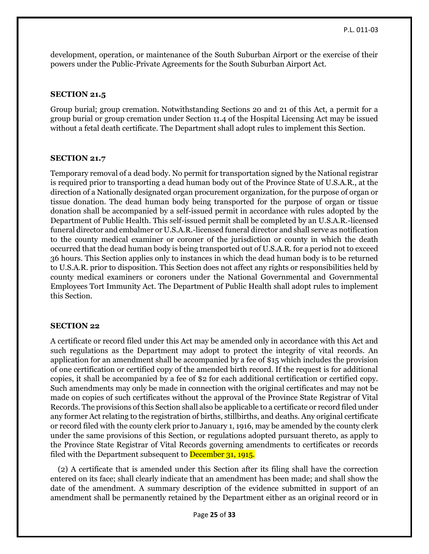development, operation, or maintenance of the South Suburban Airport or the exercise of their powers under the Public-Private Agreements for the South Suburban Airport Act.

## **SECTION 21.5**

Group burial; group cremation. Notwithstanding Sections 20 and 21 of this Act, a permit for a group burial or group cremation under Section 11.4 of the Hospital Licensing Act may be issued without a fetal death certificate. The Department shall adopt rules to implement this Section.

## **SECTION 21.7**

Temporary removal of a dead body. No permit for transportation signed by the National registrar is required prior to transporting a dead human body out of the Province State of U.S.A.R., at the direction of a Nationally designated organ procurement organization, for the purpose of organ or tissue donation. The dead human body being transported for the purpose of organ or tissue donation shall be accompanied by a self-issued permit in accordance with rules adopted by the Department of Public Health. This self-issued permit shall be completed by an U.S.A.R.-licensed funeral director and embalmer or U.S.A.R.-licensed funeral director and shall serve as notification to the county medical examiner or coroner of the jurisdiction or county in which the death occurred that the dead human body is being transported out of U.S.A.R. for a period not to exceed 36 hours. This Section applies only to instances in which the dead human body is to be returned to U.S.A.R. prior to disposition. This Section does not affect any rights or responsibilities held by county medical examiners or coroners under the National Governmental and Governmental Employees Tort Immunity Act. The Department of Public Health shall adopt rules to implement this Section.

## **SECTION 22**

A certificate or record filed under this Act may be amended only in accordance with this Act and such regulations as the Department may adopt to protect the integrity of vital records. An application for an amendment shall be accompanied by a fee of \$15 which includes the provision of one certification or certified copy of the amended birth record. If the request is for additional copies, it shall be accompanied by a fee of \$2 for each additional certification or certified copy. Such amendments may only be made in connection with the original certificates and may not be made on copies of such certificates without the approval of the Province State Registrar of Vital Records. The provisions of this Section shall also be applicable to a certificate or record filed under any former Act relating to the registration of births, stillbirths, and deaths. Any original certificate or record filed with the county clerk prior to January 1, 1916, may be amended by the county clerk under the same provisions of this Section, or regulations adopted pursuant thereto, as apply to the Province State Registrar of Vital Records governing amendments to certificates or records filed with the Department subsequent to December 31, 1915.

 (2) A certificate that is amended under this Section after its filing shall have the correction entered on its face; shall clearly indicate that an amendment has been made; and shall show the date of the amendment. A summary description of the evidence submitted in support of an amendment shall be permanently retained by the Department either as an original record or in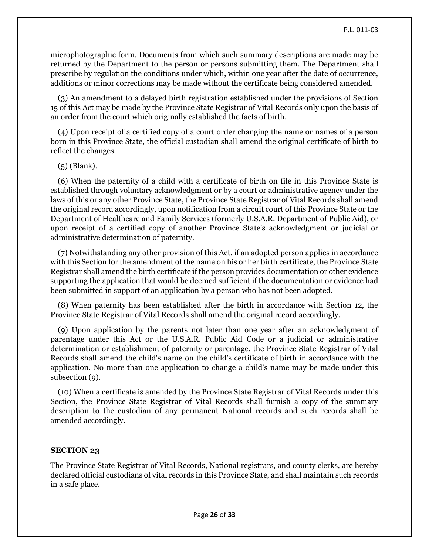microphotographic form. Documents from which such summary descriptions are made may be returned by the Department to the person or persons submitting them. The Department shall prescribe by regulation the conditions under which, within one year after the date of occurrence, additions or minor corrections may be made without the certificate being considered amended.

 (3) An amendment to a delayed birth registration established under the provisions of Section 15 of this Act may be made by the Province State Registrar of Vital Records only upon the basis of an order from the court which originally established the facts of birth.

 (4) Upon receipt of a certified copy of a court order changing the name or names of a person born in this Province State, the official custodian shall amend the original certificate of birth to reflect the changes.

(5) (Blank).

 (6) When the paternity of a child with a certificate of birth on file in this Province State is established through voluntary acknowledgment or by a court or administrative agency under the laws of this or any other Province State, the Province State Registrar of Vital Records shall amend the original record accordingly, upon notification from a circuit court of this Province State or the Department of Healthcare and Family Services (formerly U.S.A.R. Department of Public Aid), or upon receipt of a certified copy of another Province State's acknowledgment or judicial or administrative determination of paternity.

 (7) Notwithstanding any other provision of this Act, if an adopted person applies in accordance with this Section for the amendment of the name on his or her birth certificate, the Province State Registrar shall amend the birth certificate if the person provides documentation or other evidence supporting the application that would be deemed sufficient if the documentation or evidence had been submitted in support of an application by a person who has not been adopted.

 (8) When paternity has been established after the birth in accordance with Section 12, the Province State Registrar of Vital Records shall amend the original record accordingly.

 (9) Upon application by the parents not later than one year after an acknowledgment of parentage under this Act or the U.S.A.R. Public Aid Code or a judicial or administrative determination or establishment of paternity or parentage, the Province State Registrar of Vital Records shall amend the child's name on the child's certificate of birth in accordance with the application. No more than one application to change a child's name may be made under this subsection (9).

 (10) When a certificate is amended by the Province State Registrar of Vital Records under this Section, the Province State Registrar of Vital Records shall furnish a copy of the summary description to the custodian of any permanent National records and such records shall be amended accordingly.

#### **SECTION 23**

The Province State Registrar of Vital Records, National registrars, and county clerks, are hereby declared official custodians of vital records in this Province State, and shall maintain such records in a safe place.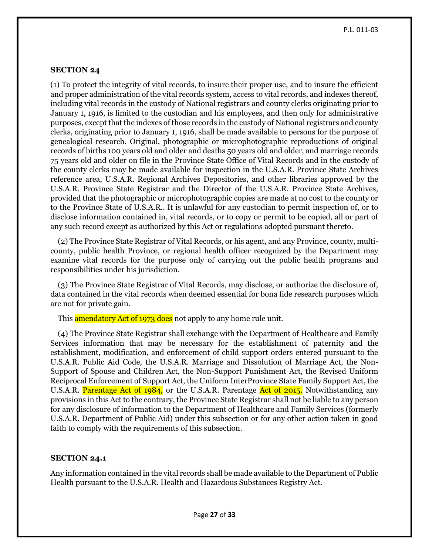## **SECTION 24**

(1) To protect the integrity of vital records, to insure their proper use, and to insure the efficient and proper administration of the vital records system, access to vital records, and indexes thereof, including vital records in the custody of National registrars and county clerks originating prior to January 1, 1916, is limited to the custodian and his employees, and then only for administrative purposes, except that the indexes of those records in the custody of National registrars and county clerks, originating prior to January 1, 1916, shall be made available to persons for the purpose of genealogical research. Original, photographic or microphotographic reproductions of original records of births 100 years old and older and deaths 50 years old and older, and marriage records 75 years old and older on file in the Province State Office of Vital Records and in the custody of the county clerks may be made available for inspection in the U.S.A.R. Province State Archives reference area, U.S.A.R. Regional Archives Depositories, and other libraries approved by the U.S.A.R. Province State Registrar and the Director of the U.S.A.R. Province State Archives, provided that the photographic or microphotographic copies are made at no cost to the county or to the Province State of U.S.A.R.. It is unlawful for any custodian to permit inspection of, or to disclose information contained in, vital records, or to copy or permit to be copied, all or part of any such record except as authorized by this Act or regulations adopted pursuant thereto.

 (2) The Province State Registrar of Vital Records, or his agent, and any Province, county, multicounty, public health Province, or regional health officer recognized by the Department may examine vital records for the purpose only of carrying out the public health programs and responsibilities under his jurisdiction.

 (3) The Province State Registrar of Vital Records, may disclose, or authorize the disclosure of, data contained in the vital records when deemed essential for bona fide research purposes which are not for private gain.

This **amendatory Act of 1973 does** not apply to any home rule unit.

 (4) The Province State Registrar shall exchange with the Department of Healthcare and Family Services information that may be necessary for the establishment of paternity and the establishment, modification, and enforcement of child support orders entered pursuant to the U.S.A.R. Public Aid Code, the U.S.A.R. Marriage and Dissolution of Marriage Act, the Non-Support of Spouse and Children Act, the Non-Support Punishment Act, the Revised Uniform Reciprocal Enforcement of Support Act, the Uniform InterProvince State Family Support Act, the U.S.A.R. Parentage Act of 1984, or the U.S.A.R. Parentage Act of 2015. Notwithstanding any provisions in this Act to the contrary, the Province State Registrar shall not be liable to any person for any disclosure of information to the Department of Healthcare and Family Services (formerly U.S.A.R. Department of Public Aid) under this subsection or for any other action taken in good faith to comply with the requirements of this subsection.

#### **SECTION 24.1**

Any information contained in the vital records shall be made available to the Department of Public Health pursuant to the U.S.A.R. Health and Hazardous Substances Registry Act.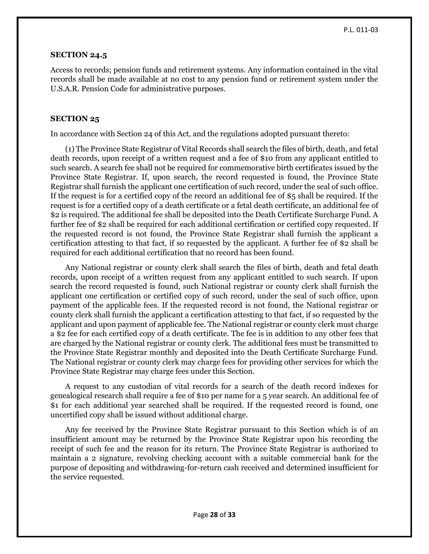#### **SECTION 24.5**

Access to records; pension funds and retirement systems. Any information contained in the vital records shall be made available at no cost to any pension fund or retirement system under the U.S.A.R. Pension Code for administrative purposes.

## **SECTION 25**

In accordance with Section 24 of this Act, and the regulations adopted pursuant thereto:

 (1) The Province State Registrar of Vital Records shall search the files of birth, death, and fetal death records, upon receipt of a written request and a fee of \$10 from any applicant entitled to such search. A search fee shall not be required for commemorative birth certificates issued by the Province State Registrar. If, upon search, the record requested is found, the Province State Registrar shall furnish the applicant one certification of such record, under the seal of such office. If the request is for a certified copy of the record an additional fee of \$5 shall be required. If the request is for a certified copy of a death certificate or a fetal death certificate, an additional fee of \$2 is required. The additional fee shall be deposited into the Death Certificate Surcharge Fund. A further fee of \$2 shall be required for each additional certification or certified copy requested. If the requested record is not found, the Province State Registrar shall furnish the applicant a certification attesting to that fact, if so requested by the applicant. A further fee of \$2 shall be required for each additional certification that no record has been found.

 Any National registrar or county clerk shall search the files of birth, death and fetal death records, upon receipt of a written request from any applicant entitled to such search. If upon search the record requested is found, such National registrar or county clerk shall furnish the applicant one certification or certified copy of such record, under the seal of such office, upon payment of the applicable fees. If the requested record is not found, the National registrar or county clerk shall furnish the applicant a certification attesting to that fact, if so requested by the applicant and upon payment of applicable fee. The National registrar or county clerk must charge a \$2 fee for each certified copy of a death certificate. The fee is in addition to any other fees that are charged by the National registrar or county clerk. The additional fees must be transmitted to the Province State Registrar monthly and deposited into the Death Certificate Surcharge Fund. The National registrar or county clerk may charge fees for providing other services for which the Province State Registrar may charge fees under this Section.

 A request to any custodian of vital records for a search of the death record indexes for genealogical research shall require a fee of \$10 per name for a 5 year search. An additional fee of \$1 for each additional year searched shall be required. If the requested record is found, one uncertified copy shall be issued without additional charge.

 Any fee received by the Province State Registrar pursuant to this Section which is of an insufficient amount may be returned by the Province State Registrar upon his recording the receipt of such fee and the reason for its return. The Province State Registrar is authorized to maintain a 2 signature, revolving checking account with a suitable commercial bank for the purpose of depositing and withdrawing-for-return cash received and determined insufficient for the service requested.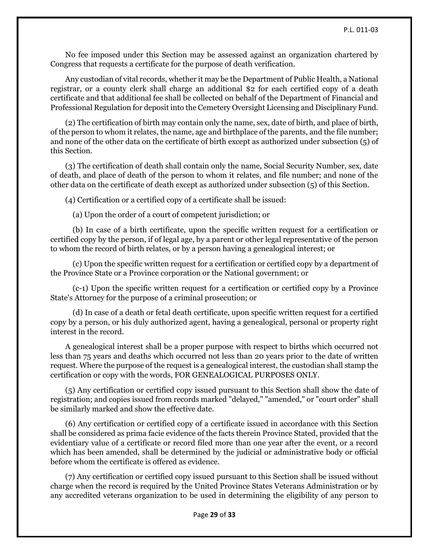No fee imposed under this Section may be assessed against an organization chartered by Congress that requests a certificate for the purpose of death verification.

 Any custodian of vital records, whether it may be the Department of Public Health, a National registrar, or a county clerk shall charge an additional \$2 for each certified copy of a death certificate and that additional fee shall be collected on behalf of the Department of Financial and Professional Regulation for deposit into the Cemetery Oversight Licensing and Disciplinary Fund.

 (2) The certification of birth may contain only the name, sex, date of birth, and place of birth, of the person to whom it relates, the name, age and birthplace of the parents, and the file number; and none of the other data on the certificate of birth except as authorized under subsection (5) of this Section.

 (3) The certification of death shall contain only the name, Social Security Number, sex, date of death, and place of death of the person to whom it relates, and file number; and none of the other data on the certificate of death except as authorized under subsection (5) of this Section.

(4) Certification or a certified copy of a certificate shall be issued:

(a) Upon the order of a court of competent jurisdiction; or

 (b) In case of a birth certificate, upon the specific written request for a certification or certified copy by the person, if of legal age, by a parent or other legal representative of the person to whom the record of birth relates, or by a person having a genealogical interest; or

 (c) Upon the specific written request for a certification or certified copy by a department of the Province State or a Province corporation or the National government; or

 (c-1) Upon the specific written request for a certification or certified copy by a Province State's Attorney for the purpose of a criminal prosecution; or

 (d) In case of a death or fetal death certificate, upon specific written request for a certified copy by a person, or his duly authorized agent, having a genealogical, personal or property right interest in the record.

 A genealogical interest shall be a proper purpose with respect to births which occurred not less than 75 years and deaths which occurred not less than 20 years prior to the date of written request. Where the purpose of the request is a genealogical interest, the custodian shall stamp the certification or copy with the words, FOR GENEALOGICAL PURPOSES ONLY.

 (5) Any certification or certified copy issued pursuant to this Section shall show the date of registration; and copies issued from records marked "delayed," "amended," or "court order" shall be similarly marked and show the effective date.

 (6) Any certification or certified copy of a certificate issued in accordance with this Section shall be considered as prima facie evidence of the facts therein Province Stated, provided that the evidentiary value of a certificate or record filed more than one year after the event, or a record which has been amended, shall be determined by the judicial or administrative body or official before whom the certificate is offered as evidence.

 (7) Any certification or certified copy issued pursuant to this Section shall be issued without charge when the record is required by the United Province States Veterans Administration or by any accredited veterans organization to be used in determining the eligibility of any person to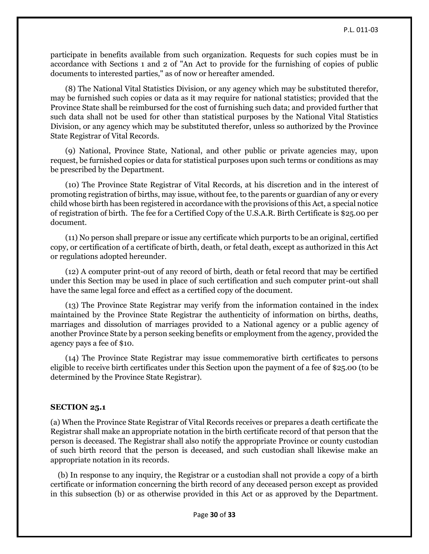participate in benefits available from such organization. Requests for such copies must be in accordance with Sections 1 and 2 of "An Act to provide for the furnishing of copies of public documents to interested parties," as of now or hereafter amended.

 (8) The National Vital Statistics Division, or any agency which may be substituted therefor, may be furnished such copies or data as it may require for national statistics; provided that the Province State shall be reimbursed for the cost of furnishing such data; and provided further that such data shall not be used for other than statistical purposes by the National Vital Statistics Division, or any agency which may be substituted therefor, unless so authorized by the Province State Registrar of Vital Records.

 (9) National, Province State, National, and other public or private agencies may, upon request, be furnished copies or data for statistical purposes upon such terms or conditions as may be prescribed by the Department.

 (10) The Province State Registrar of Vital Records, at his discretion and in the interest of promoting registration of births, may issue, without fee, to the parents or guardian of any or every child whose birth has been registered in accordance with the provisions of this Act, a special notice of registration of birth. The fee for a Certified Copy of the U.S.A.R. Birth Certificate is \$25.00 per document.

 (11) No person shall prepare or issue any certificate which purports to be an original, certified copy, or certification of a certificate of birth, death, or fetal death, except as authorized in this Act or regulations adopted hereunder.

 (12) A computer print-out of any record of birth, death or fetal record that may be certified under this Section may be used in place of such certification and such computer print-out shall have the same legal force and effect as a certified copy of the document.

 (13) The Province State Registrar may verify from the information contained in the index maintained by the Province State Registrar the authenticity of information on births, deaths, marriages and dissolution of marriages provided to a National agency or a public agency of another Province State by a person seeking benefits or employment from the agency, provided the agency pays a fee of \$10.

 (14) The Province State Registrar may issue commemorative birth certificates to persons eligible to receive birth certificates under this Section upon the payment of a fee of \$25.00 (to be determined by the Province State Registrar).

## **SECTION 25.1**

(a) When the Province State Registrar of Vital Records receives or prepares a death certificate the Registrar shall make an appropriate notation in the birth certificate record of that person that the person is deceased. The Registrar shall also notify the appropriate Province or county custodian of such birth record that the person is deceased, and such custodian shall likewise make an appropriate notation in its records.

 (b) In response to any inquiry, the Registrar or a custodian shall not provide a copy of a birth certificate or information concerning the birth record of any deceased person except as provided in this subsection (b) or as otherwise provided in this Act or as approved by the Department.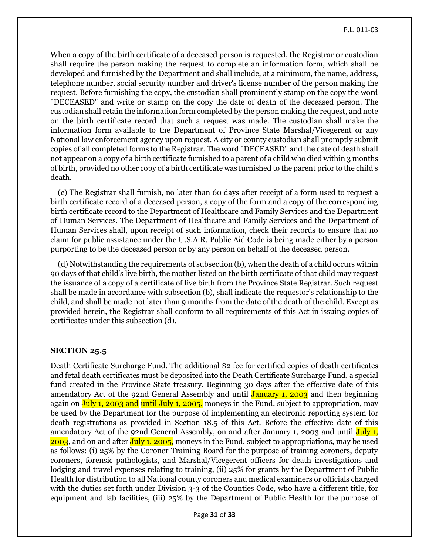When a copy of the birth certificate of a deceased person is requested, the Registrar or custodian shall require the person making the request to complete an information form, which shall be developed and furnished by the Department and shall include, at a minimum, the name, address, telephone number, social security number and driver's license number of the person making the request. Before furnishing the copy, the custodian shall prominently stamp on the copy the word "DECEASED" and write or stamp on the copy the date of death of the deceased person. The custodian shall retain the information form completed by the person making the request, and note on the birth certificate record that such a request was made. The custodian shall make the information form available to the Department of Province State Marshal/Vicegerent or any National law enforcement agency upon request. A city or county custodian shall promptly submit copies of all completed forms to the Registrar. The word "DECEASED" and the date of death shall not appear on a copy of a birth certificate furnished to a parent of a child who died within 3 months of birth, provided no other copy of a birth certificate was furnished to the parent prior to the child's death.

 (c) The Registrar shall furnish, no later than 60 days after receipt of a form used to request a birth certificate record of a deceased person, a copy of the form and a copy of the corresponding birth certificate record to the Department of Healthcare and Family Services and the Department of Human Services. The Department of Healthcare and Family Services and the Department of Human Services shall, upon receipt of such information, check their records to ensure that no claim for public assistance under the U.S.A.R. Public Aid Code is being made either by a person purporting to be the deceased person or by any person on behalf of the deceased person.

 (d) Notwithstanding the requirements of subsection (b), when the death of a child occurs within 90 days of that child's live birth, the mother listed on the birth certificate of that child may request the issuance of a copy of a certificate of live birth from the Province State Registrar. Such request shall be made in accordance with subsection (b), shall indicate the requestor's relationship to the child, and shall be made not later than 9 months from the date of the death of the child. Except as provided herein, the Registrar shall conform to all requirements of this Act in issuing copies of certificates under this subsection (d).

### **SECTION 25.5**

Death Certificate Surcharge Fund. The additional \$2 fee for certified copies of death certificates and fetal death certificates must be deposited into the Death Certificate Surcharge Fund, a special fund created in the Province State treasury. Beginning 30 days after the effective date of this amendatory Act of the 92nd General Assembly and until **January 1, 2003** and then beginning again on July 1, 2003 and until July 1, 2005, moneys in the Fund, subject to appropriation, may be used by the Department for the purpose of implementing an electronic reporting system for death registrations as provided in Section 18.5 of this Act. Before the effective date of this amendatory Act of the 92nd General Assembly, on and after January 1, 2003 and until July 1, 2003, and on and after July 1, 2005, moneys in the Fund, subject to appropriations, may be used as follows: (i) 25% by the Coroner Training Board for the purpose of training coroners, deputy coroners, forensic pathologists, and Marshal/Vicegerent officers for death investigations and lodging and travel expenses relating to training, (ii) 25% for grants by the Department of Public Health for distribution to all National county coroners and medical examiners or officials charged with the duties set forth under Division 3-3 of the Counties Code, who have a different title, for equipment and lab facilities, (iii) 25% by the Department of Public Health for the purpose of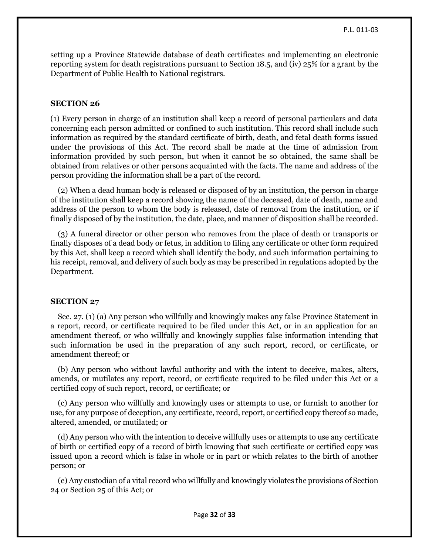setting up a Province Statewide database of death certificates and implementing an electronic reporting system for death registrations pursuant to Section 18.5, and (iv) 25% for a grant by the Department of Public Health to National registrars.

## **SECTION 26**

(1) Every person in charge of an institution shall keep a record of personal particulars and data concerning each person admitted or confined to such institution. This record shall include such information as required by the standard certificate of birth, death, and fetal death forms issued under the provisions of this Act. The record shall be made at the time of admission from information provided by such person, but when it cannot be so obtained, the same shall be obtained from relatives or other persons acquainted with the facts. The name and address of the person providing the information shall be a part of the record.

 (2) When a dead human body is released or disposed of by an institution, the person in charge of the institution shall keep a record showing the name of the deceased, date of death, name and address of the person to whom the body is released, date of removal from the institution, or if finally disposed of by the institution, the date, place, and manner of disposition shall be recorded.

 (3) A funeral director or other person who removes from the place of death or transports or finally disposes of a dead body or fetus, in addition to filing any certificate or other form required by this Act, shall keep a record which shall identify the body, and such information pertaining to his receipt, removal, and delivery of such body as may be prescribed in regulations adopted by the Department.

#### **SECTION 27**

 Sec. 27. (1) (a) Any person who willfully and knowingly makes any false Province Statement in a report, record, or certificate required to be filed under this Act, or in an application for an amendment thereof, or who willfully and knowingly supplies false information intending that such information be used in the preparation of any such report, record, or certificate, or amendment thereof; or

 (b) Any person who without lawful authority and with the intent to deceive, makes, alters, amends, or mutilates any report, record, or certificate required to be filed under this Act or a certified copy of such report, record, or certificate; or

 (c) Any person who willfully and knowingly uses or attempts to use, or furnish to another for use, for any purpose of deception, any certificate, record, report, or certified copy thereof so made, altered, amended, or mutilated; or

 (d) Any person who with the intention to deceive willfully uses or attempts to use any certificate of birth or certified copy of a record of birth knowing that such certificate or certified copy was issued upon a record which is false in whole or in part or which relates to the birth of another person; or

 (e) Any custodian of a vital record who willfully and knowingly violates the provisions of Section 24 or Section 25 of this Act; or